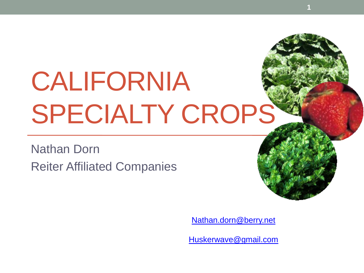# CALIFORNIA SPECIALTY CROPS

Nathan Dorn Reiter Affiliated Companies

[Nathan.dorn@berry.net](mailto:Nathan.dorn@berry.net)

**1**

[Huskerwave@gmail.com](mailto:Huskerwave@gmail.com)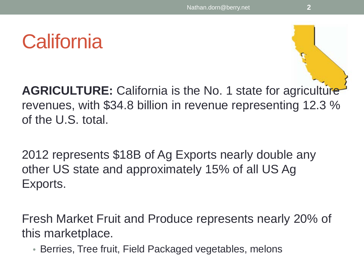### **California**

**AGRICULTURE:** California is the No. 1 state for agriculture revenues, with \$34.8 billion in revenue representing 12.3 % of the U.S. total.

2012 represents \$18B of Ag Exports nearly double any other US state and approximately 15% of all US Ag Exports.

Fresh Market Fruit and Produce represents nearly 20% of this marketplace.

• Berries, Tree fruit, Field Packaged vegetables, melons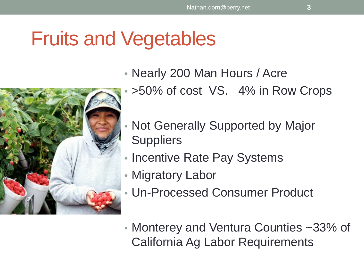### Fruits and Vegetables



• Nearly 200 Man Hours / Acre

- >50% of cost VS. 4% in Row Crops
- Not Generally Supported by Major **Suppliers**
- Incentive Rate Pay Systems
- Migratory Labor
- Un-Processed Consumer Product
- Monterey and Ventura Counties ~33% of California Ag Labor Requirements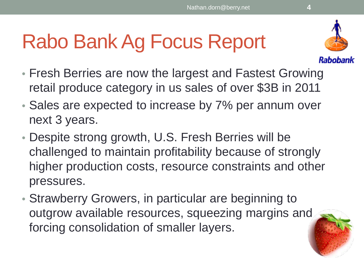## Rabo Bank Ag Focus Report



- Fresh Berries are now the largest and Fastest Growing retail produce category in us sales of over \$3B in 2011
- Sales are expected to increase by 7% per annum over next 3 years.
- Despite strong growth, U.S. Fresh Berries will be challenged to maintain profitability because of strongly higher production costs, resource constraints and other pressures.
- Strawberry Growers, in particular are beginning to outgrow available resources, squeezing margins and forcing consolidation of smaller layers.

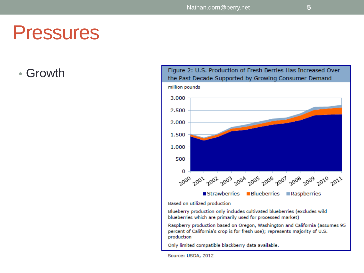• Growth

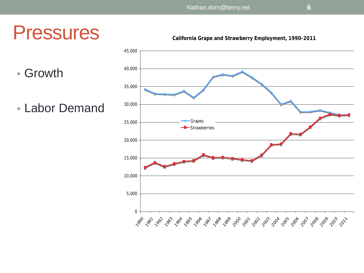- Growth
- Labor Demand



**California Grape and Strawberry Employment, 1990-2011**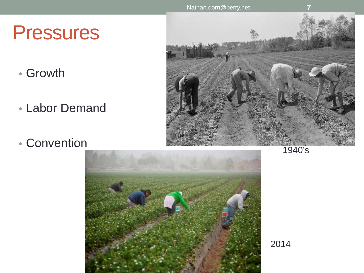- Growth
- Labor Demand



Nathan.dorn@berry.net **7**



2014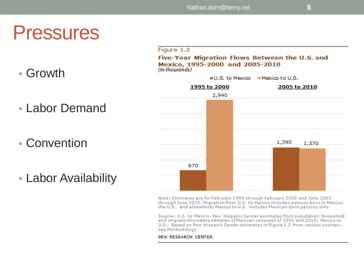• Growth

- Labor Demand
- Convention
- Labor Availability

Figure 1.2 Five-Year Migration Flows Between the U.S. and Mexico, 1995-2000 and 2005-2010 (in thousands)



Note: Estimates are for February 1995 through February 2000 and June 2005 through June 2010. Migration from U.S. to Mexico includes persons born in Mexico, the U.S., and elsewhere; Mexico to U.S. includes Mexican-born persons only.

Source: U.S. to Mexico: Pew Hispanic Center estimates from population, household and migrant microdata samples of Mexican censuses of 2000 and 2010; Mexico to U.S.: Based on Pew Hispanic Center estimates in Figure 1.3 from various sources; see Methodology

### PEW RESEARCH CENTER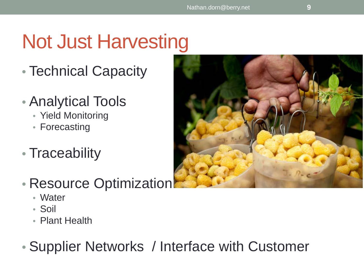## Not Just Harvesting

- Technical Capacity
- Analytical Tools
	- Yield Monitoring
	- Forecasting
- Traceability

### • Resource Optimization

- Water
- Soil
- Plant Health
- Supplier Networks / Interface with Customer

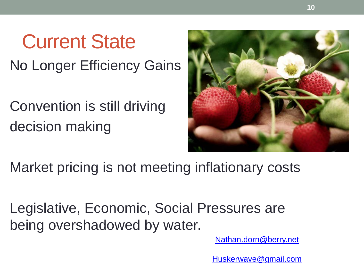# Current State

No Longer Efficiency Gains

Convention is still driving decision making



Market pricing is not meeting inflationary costs

Legislative, Economic, Social Pressures are being overshadowed by water.

[Nathan.dorn@berry.net](mailto:Nathan.dorn@berry.net)

[Huskerwave@gmail.com](mailto:Huskerwave@gmail.com)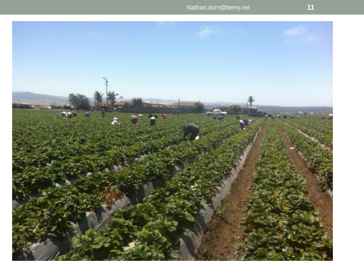